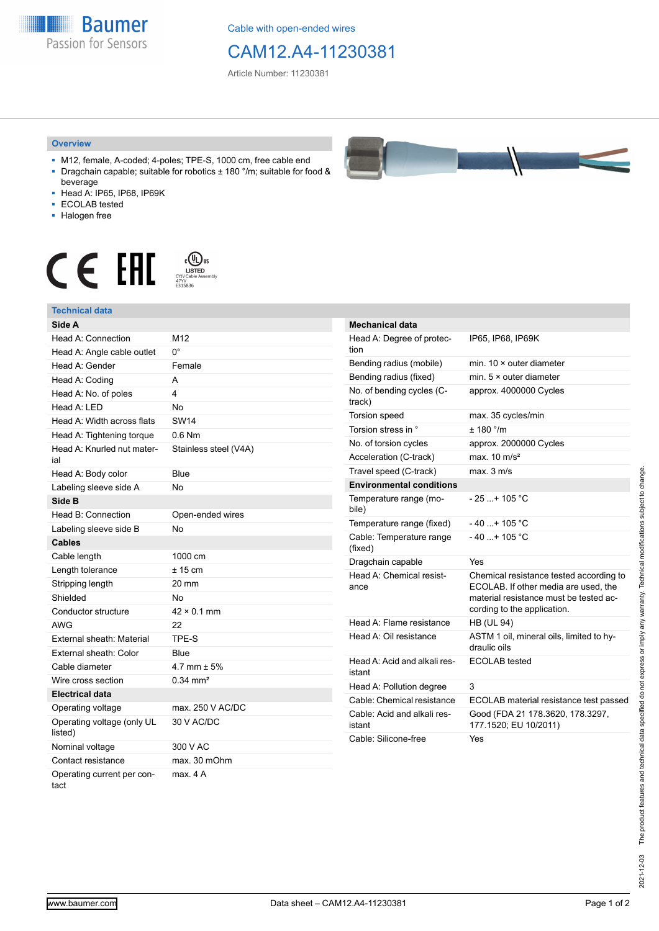**Baumer** Passion for Sensors

Cable with open-ended wires

## CAM12.A4-11230381

Article Number: 11230381

## **Overview**

- M12, female, A-coded; 4-poles; TPE-S, 1000 cm, free cable end ■ Dragchain capable; suitable for robotics ± 180 °/m; suitable for food &
- beverage ■ Head A: IP65, IP68, IP69K
- ECOLAB tested
- Halogen free
- 

## $\begin{array}{ccc} \textbf{C} & \textbf{F} & \overset{\text{\tiny (C)}}{\underset{\text{CIVCable Asomby}}{\text{LSPID}}} \end{array}$

| <b>Technical data</b>                 |                        |
|---------------------------------------|------------------------|
| Side A                                |                        |
| Head A: Connection                    | M12                    |
| Head A: Angle cable outlet            | 0°                     |
| Head A: Gender                        | Female                 |
| Head A: Coding                        | A                      |
| Head A: No. of poles                  | 4                      |
| Head A: LED                           | No                     |
| Head A: Width across flats            | SW14                   |
| Head A: Tightening torque             | $0.6$ Nm               |
| Head A: Knurled nut mater-<br>ial     | Stainless steel (V4A)  |
| Head A: Body color                    | Blue                   |
| Labeling sleeve side A                | N٥                     |
| Side B                                |                        |
| Head B: Connection                    | Open-ended wires       |
| Labeling sleeve side B                | No                     |
| <b>Cables</b>                         |                        |
| Cable length                          | 1000 cm                |
| Length tolerance                      | $± 15$ cm              |
| Stripping length                      | 20 mm                  |
| Shielded                              | No                     |
| Conductor structure                   | $42 \times 0.1$ mm     |
| <b>AWG</b>                            | 22                     |
| External sheath: Material             | TPE-S                  |
| External sheath: Color                | Blue                   |
| Cable diameter                        | 4.7 mm $\pm$ 5%        |
| Wire cross section                    | $0.34$ mm <sup>2</sup> |
| <b>Electrical data</b>                |                        |
| Operating voltage                     | max. 250 V AC/DC       |
| Operating voltage (only UL<br>listed) | 30 V AC/DC             |
| Nominal voltage                       | 300 V AC               |
| Contact resistance                    | max. 30 mOhm           |
| Operating current per con-<br>tact    | max. 4 A               |



| <b>Mechanical data</b>                 |                                                                                                                                                          |
|----------------------------------------|----------------------------------------------------------------------------------------------------------------------------------------------------------|
| Head A: Degree of protec-<br>tion      | IP65, IP68, IP69K                                                                                                                                        |
| Bending radius (mobile)                | min. $10 \times$ outer diameter                                                                                                                          |
| Bending radius (fixed)                 | min. $5 \times$ outer diameter                                                                                                                           |
| No. of bending cycles (C-<br>track)    | approx. 4000000 Cycles                                                                                                                                   |
| Torsion speed                          | max. 35 cycles/min                                                                                                                                       |
| Torsion stress in °                    | $+ 180$ °/m                                                                                                                                              |
| No. of torsion cycles                  | approx. 2000000 Cycles                                                                                                                                   |
| Acceleration (C-track)                 | max $10 \text{ m/s}^2$                                                                                                                                   |
| Travel speed (C-track)                 | max. 3 m/s                                                                                                                                               |
| <b>Environmental conditions</b>        |                                                                                                                                                          |
| Temperature range (mo-<br>bile)        | $-25$ + 105 °C                                                                                                                                           |
| Temperature range (fixed)              | $-40$ + 105 °C                                                                                                                                           |
| Cable: Temperature range<br>(fixed)    | $-40$ + 105 °C                                                                                                                                           |
| Dragchain capable                      | Yes                                                                                                                                                      |
| Head A: Chemical resist-<br>ance       | Chemical resistance tested according to<br>ECOLAB. If other media are used, the<br>material resistance must be tested ac-<br>cording to the application. |
| Head A: Flame resistance               | <b>HB (UL 94)</b>                                                                                                                                        |
| Head A: Oil resistance                 | ASTM 1 oil, mineral oils, limited to hy-<br>draulic oils                                                                                                 |
| Head A: Acid and alkali res-<br>istant | <b>ECOLAB</b> tested                                                                                                                                     |
| Head A: Pollution degree               | 3                                                                                                                                                        |
| Cable: Chemical resistance             | ECOLAB material resistance test passed                                                                                                                   |
| Cable: Acid and alkali res-<br>istant  | Good (FDA 21 178.3620, 178.3297,<br>177.1520; EU 10/2011)                                                                                                |
| Cable: Silicone-free                   | Yes                                                                                                                                                      |